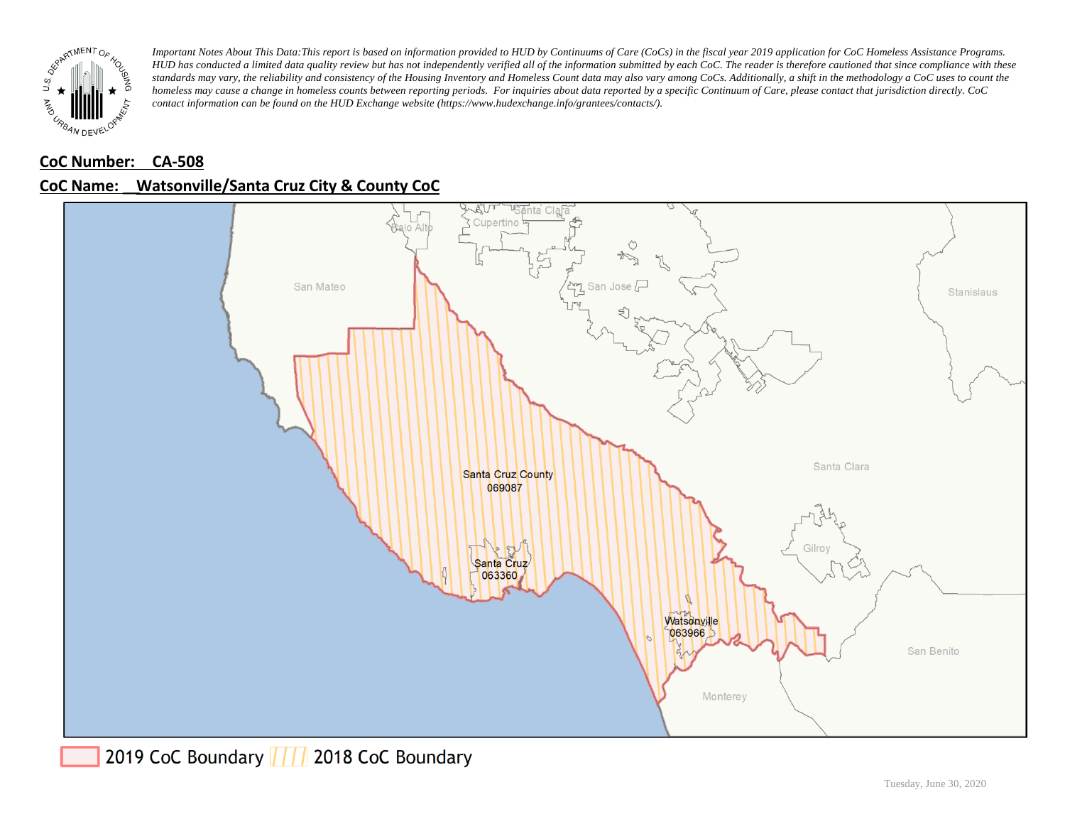

### **CoC Number: CA-508**

## **CoC Name: \_\_ Watsonville/Santa Cruz City & County CoC**

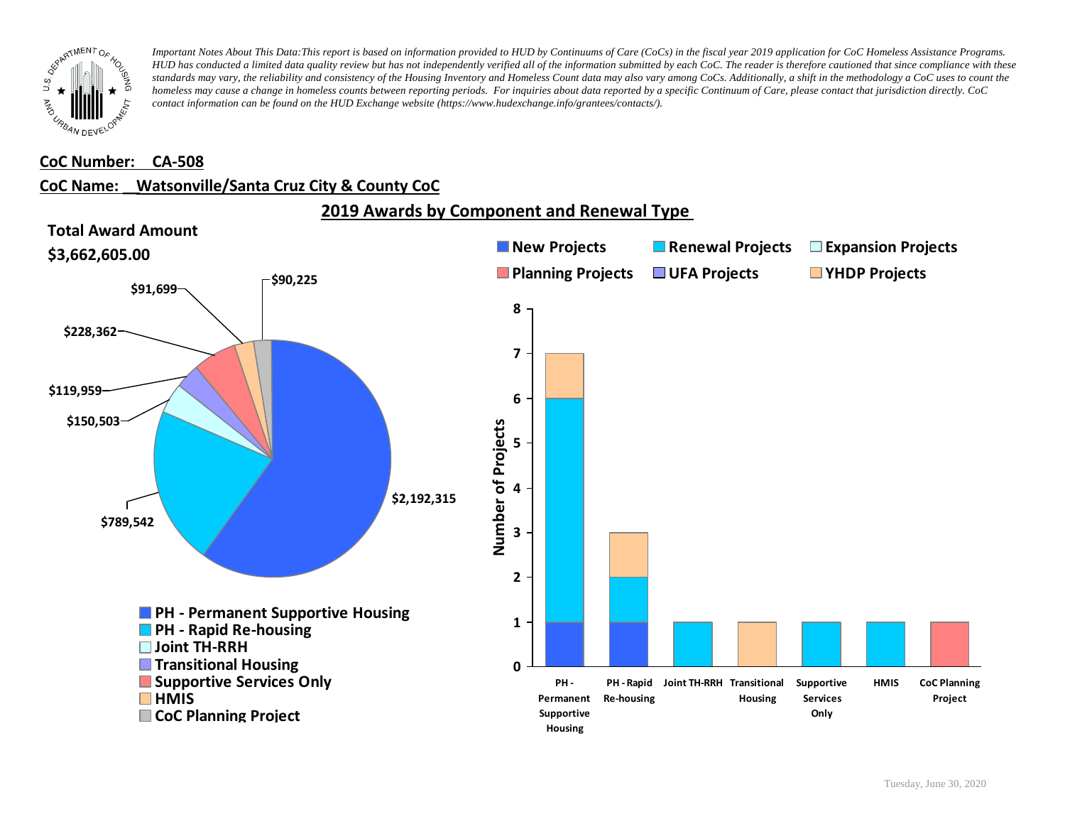

#### **CoC Number: CA-508**

### **CoC Name: \_\_ Watsonville/Santa Cruz City & County CoC**

**2019 Awards by Component and Renewal Type** 

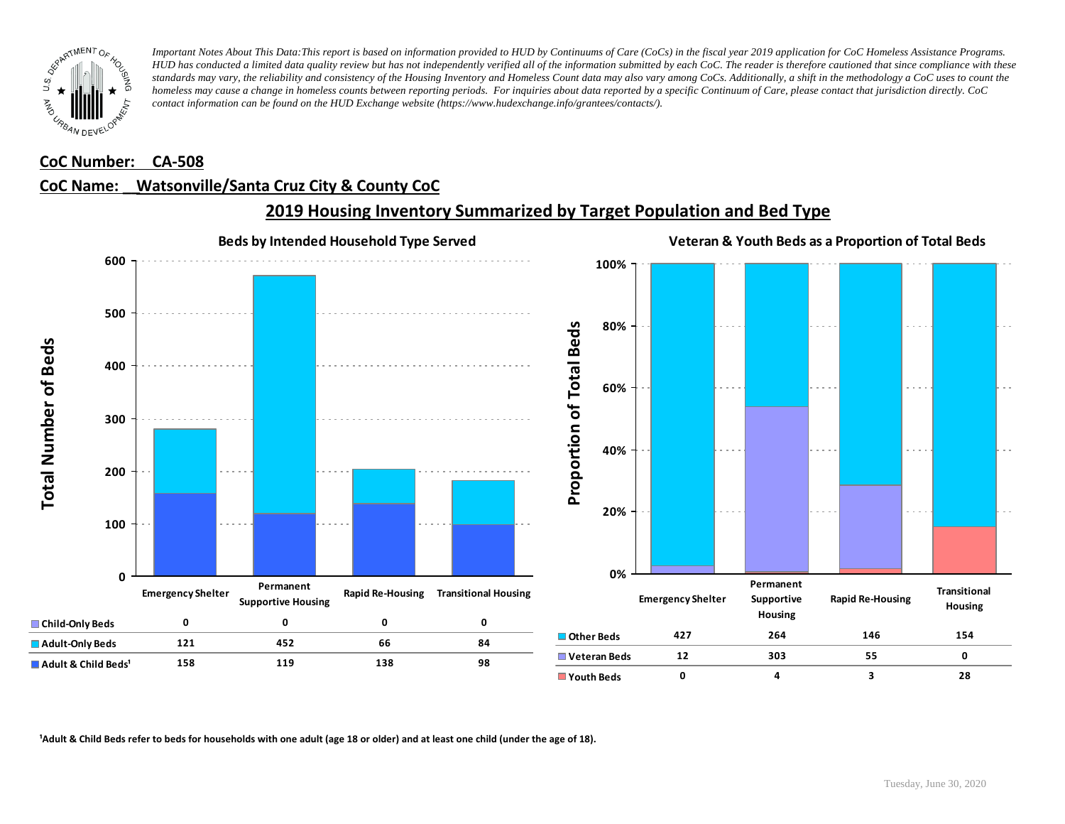

#### **CoC Number: CA-508**

### **CoC Name: \_\_ Watsonville/Santa Cruz City & County CoC**



## **2019 Housing Inventory Summarized by Target Population and Bed Type**

<sup>1</sup> Adult & Child Beds refer to beds for households with one adult (age 18 or older) and at least one child (under the age of 18).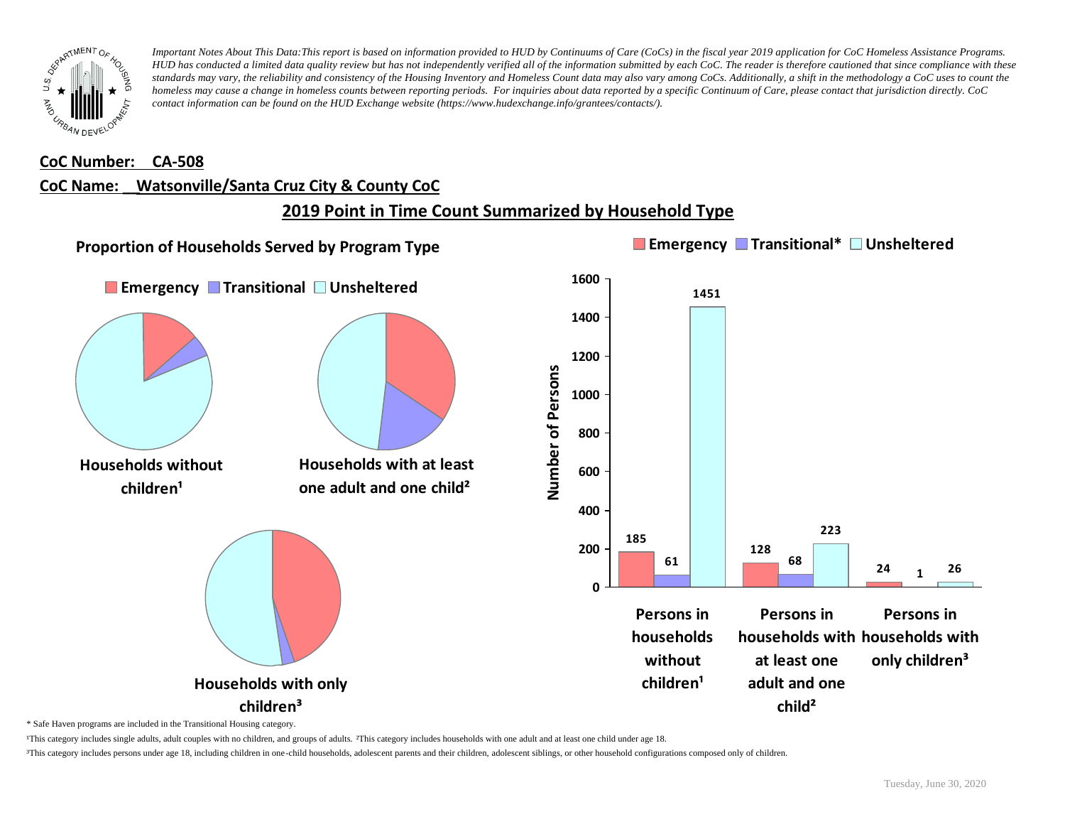

#### **CoC Number: CA-508**

### **CoC Name: \_\_ Watsonville/Santa Cruz City & County CoC**

## **2019 Point in Time Count Summarized by Household Type**



\* Safe Haven programs are included in the Transitional Housing category.

¹This category includes single adults, adult couples with no children, and groups of adults. ²This category includes households with one adult and at least one child under age 18.

³This category includes persons under age 18, including children in one-child households, adolescent parents and their children, adolescent siblings, or other household configurations composed only of children.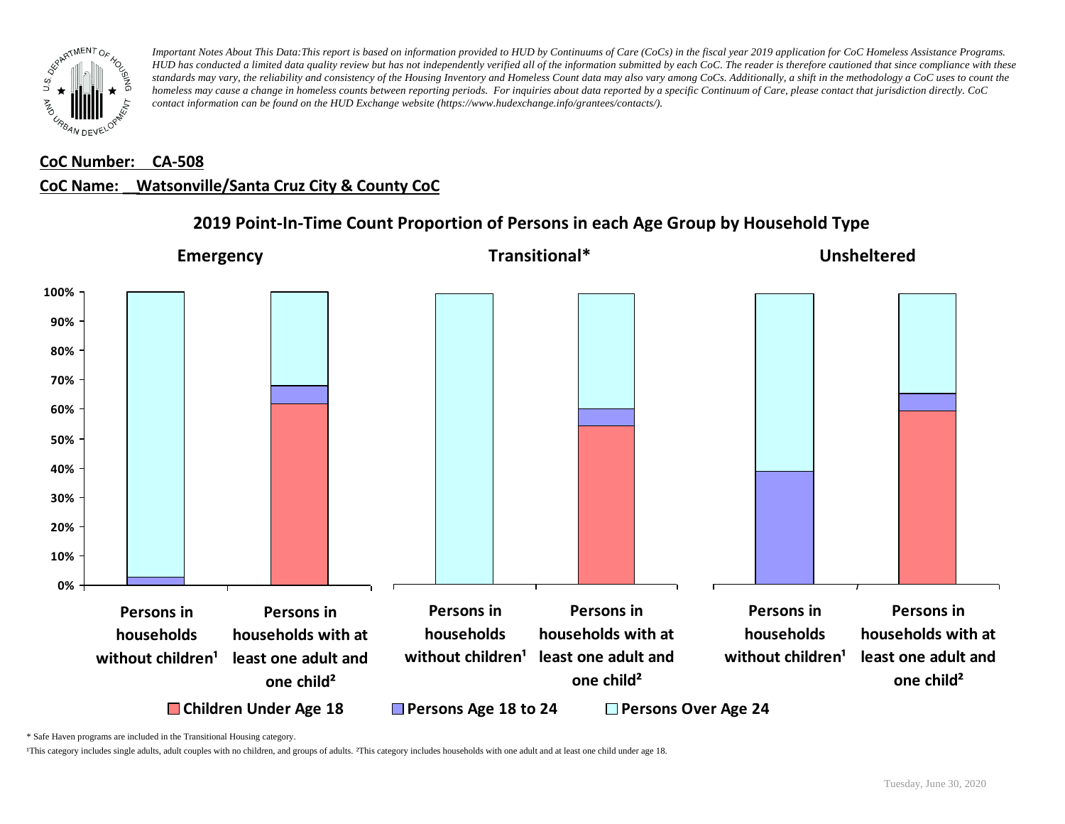

## **CoC Number: CA-508 CoC Name: \_\_ Watsonville/Santa Cruz City & County CoC**



**2019 Point-In-Time Count Proportion of Persons in each Age Group by Household Type**

\* Safe Haven programs are included in the Transitional Housing category.

¹This category includes single adults, adult couples with no children, and groups of adults. ²This category includes households with one adult and at least one child under age 18.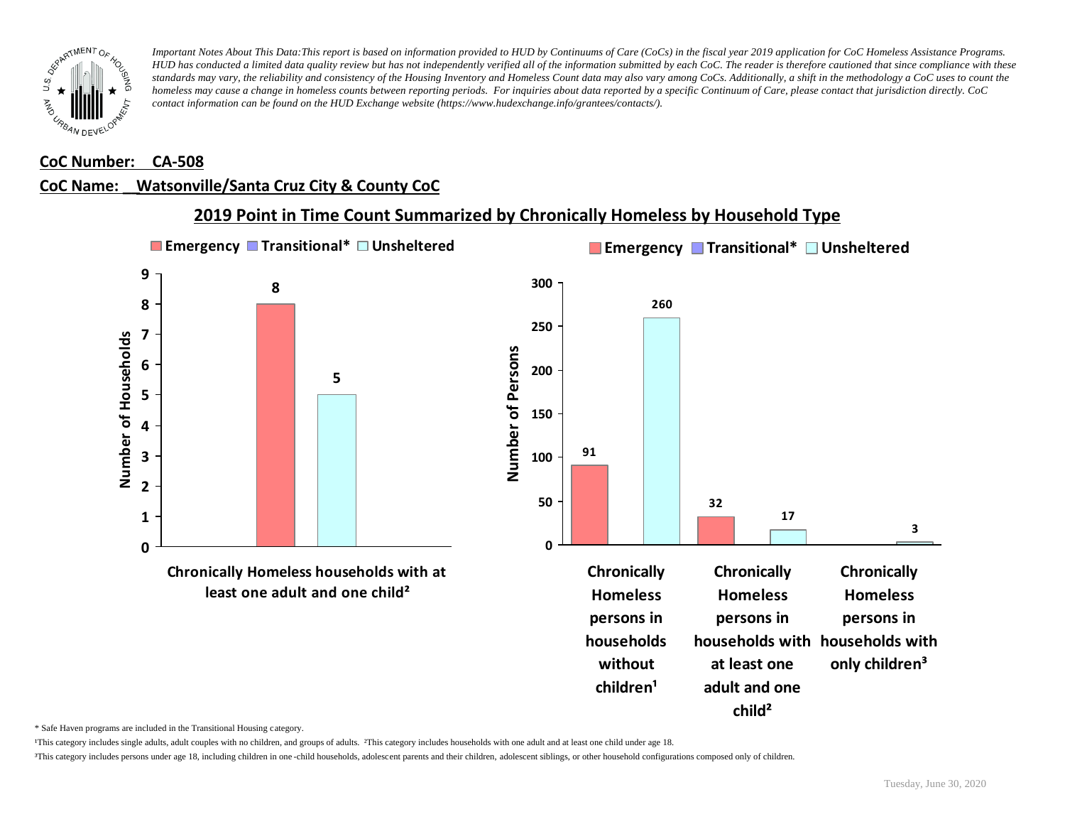

#### **CoC Number: CA-508**

### **CoC Name: \_\_ Watsonville/Santa Cruz City & County CoC**



\* Safe Haven programs are included in the Transitional Housing category.

¹This category includes single adults, adult couples with no children, and groups of adults. ²This category includes households with one adult and at least one child under age 18.

³This category includes persons under age 18, including children in one -child households, adolescent parents and their children, adolescent siblings, or other household configurations composed only of children.